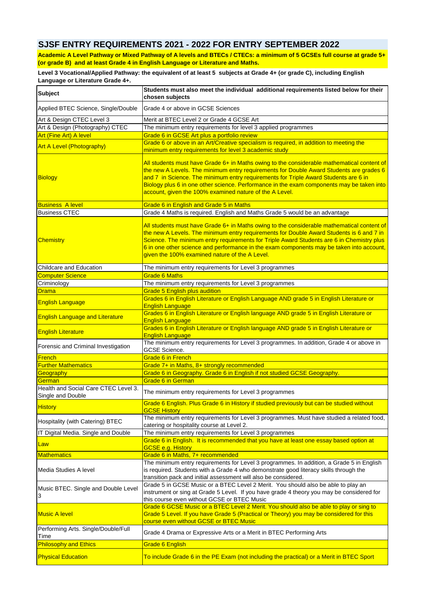## **SJSF ENTRY REQUIREMENTS 2021 - 2022 FOR ENTRY SEPTEMBER 2022**

**Academic A Level Pathway or Mixed Pathway of A levels and BTECs / CTECs: a minimum of 5 GCSEs full course at grade 5+ (or grade B) and at least Grade 4 in English Language or Literature and Maths.** 

**Level 3 Vocational/Applied Pathway: the equivalent of at least 5 subjects at Grade 4+ (or grade C), including English Language or Literature Grade 4+.** 

| <b>Subject</b>                                            | Students must also meet the individual additional requirements listed below for their                                                                                                                                                                                                                                                                                                                                                |
|-----------------------------------------------------------|--------------------------------------------------------------------------------------------------------------------------------------------------------------------------------------------------------------------------------------------------------------------------------------------------------------------------------------------------------------------------------------------------------------------------------------|
|                                                           | chosen subjects                                                                                                                                                                                                                                                                                                                                                                                                                      |
| Applied BTEC Science, Single/Double                       | Grade 4 or above in GCSE Sciences                                                                                                                                                                                                                                                                                                                                                                                                    |
| Art & Design CTEC Level 3                                 | Merit at BTEC Level 2 or Grade 4 GCSE Art                                                                                                                                                                                                                                                                                                                                                                                            |
| Art & Design (Photography) CTEC                           | The minimum entry requirements for level 3 applied programmes                                                                                                                                                                                                                                                                                                                                                                        |
| <b>Art (Fine Art) A level</b>                             | Grade 6 in GCSE Art plus a portfolio review                                                                                                                                                                                                                                                                                                                                                                                          |
| <b>Art A Level (Photography)</b>                          | Grade 6 or above in an Art/Creative specialism is required, in addition to meeting the<br>minimum entry requirements for level 3 academic study                                                                                                                                                                                                                                                                                      |
| Biology                                                   | All students must have Grade 6+ in Maths owing to the considerable mathematical content of<br>the new A Levels. The minimum entry requirements for Double Award Students are grades 6<br>and 7 in Science. The minimum entry requirements for Triple Award Students are 6 in<br>Biology plus 6 in one other science. Performance in the exam components may be taken into<br>account, given the 100% examined nature of the A Level. |
| <b>Business A level</b>                                   | Grade 6 in English and Grade 5 in Maths                                                                                                                                                                                                                                                                                                                                                                                              |
| <b>Business CTEC</b>                                      | Grade 4 Maths is required. English and Maths Grade 5 would be an advantage                                                                                                                                                                                                                                                                                                                                                           |
| <b>Chemistry</b>                                          | All students must have Grade 6+ in Maths owing to the considerable mathematical content of<br>the new A Levels. The minimum entry requirements for Double Award Students is 6 and 7 in<br>Science. The minimum entry requirements for Triple Award Students are 6 in Chemistry plus<br>6 in one other science and performance in the exam components may be taken into account,<br>given the 100% examined nature of the A Level.    |
| Childcare and Education                                   | The minimum entry requirements for Level 3 programmes                                                                                                                                                                                                                                                                                                                                                                                |
| <b>Computer Science</b>                                   | <b>Grade 6 Maths</b>                                                                                                                                                                                                                                                                                                                                                                                                                 |
| Criminology                                               | The minimum entry requirements for Level 3 programmes                                                                                                                                                                                                                                                                                                                                                                                |
| <b>Drama</b>                                              | <b>Grade 5 English plus audition</b>                                                                                                                                                                                                                                                                                                                                                                                                 |
| <b>English Language</b>                                   | Grades 6 in English Literature or English Language AND grade 5 in English Literature or<br><b>English Language</b>                                                                                                                                                                                                                                                                                                                   |
| <b>English Language and Literature</b>                    | Grades 6 in English Literature or English language AND grade 5 in English Literature or<br><b>English Language</b>                                                                                                                                                                                                                                                                                                                   |
| <b>English Literature</b>                                 | Grades 6 in English Literature or English language AND grade 5 in English Literature or<br><b>English Language</b>                                                                                                                                                                                                                                                                                                                   |
| Forensic and Criminal Investigation                       | The minimum entry requirements for Level 3 programmes. In addition, Grade 4 or above in<br><b>GCSE Science.</b>                                                                                                                                                                                                                                                                                                                      |
| <b>French</b>                                             | Grade 6 in French                                                                                                                                                                                                                                                                                                                                                                                                                    |
| <b>Further Mathematics</b>                                | Grade 7+ in Maths, 8+ strongly recommended                                                                                                                                                                                                                                                                                                                                                                                           |
| Geography                                                 | Grade 6 in Geography. Grade 6 in English if not studied GCSE Geography.                                                                                                                                                                                                                                                                                                                                                              |
| German                                                    | Grade 6 in German                                                                                                                                                                                                                                                                                                                                                                                                                    |
| Health and Social Care CTEC Level 3.<br>Single and Double | The minimum entry requirements for Level 3 programmes                                                                                                                                                                                                                                                                                                                                                                                |
| <u>History</u>                                            | Grade 6 English. Plus Grade 6 in History if studied previously but can be studied without<br><b>GCSE History</b>                                                                                                                                                                                                                                                                                                                     |
| Hospitality (with Catering) BTEC                          | The minimum entry requirements for Level 3 programmes. Must have studied a related food,<br>catering or hospitality course at Level 2.                                                                                                                                                                                                                                                                                               |
| IT Digital Media. Single and Double                       | The minimum entry requirements for Level 3 programmes                                                                                                                                                                                                                                                                                                                                                                                |
| <b>Law</b>                                                | Grade 6 in English. It is recommended that you have at least one essay based option at<br><b>GCSE e.g. History</b>                                                                                                                                                                                                                                                                                                                   |
| <b>Mathematics</b>                                        | Grade 6 in Maths, 7+ recommended                                                                                                                                                                                                                                                                                                                                                                                                     |
| Media Studies A level                                     | The minimum entry requirements for Level 3 programmes. In addition, a Grade 5 in English<br>is required. Students with a Grade 4 who demonstrate good literacy skills through the<br>transition pack and initial assessment will also be considered.                                                                                                                                                                                 |
| Music BTEC. Single and Double Level<br>3                  | Grade 5 in GCSE Music or a BTEC Level 2 Merit. You should also be able to play an<br>instrument or sing at Grade 5 Level. If you have grade 4 theory you may be considered for<br>this course even without GCSE or BTEC Music                                                                                                                                                                                                        |
| <b>Music A level</b>                                      | Grade 6 GCSE Music or a BTEC Level 2 Merit. You should also be able to play or sing to<br>Grade 5 Level. If you have Grade 5 (Practical or Theory) you may be considered for this<br>course even without GCSE or BTEC Music                                                                                                                                                                                                          |
| Performing Arts. Single/Double/Full<br>Time               | Grade 4 Drama or Expressive Arts or a Merit in BTEC Performing Arts                                                                                                                                                                                                                                                                                                                                                                  |
| <b>Philosophy and Ethics</b>                              | <b>Grade 6 English</b>                                                                                                                                                                                                                                                                                                                                                                                                               |
| <b>Physical Education</b>                                 | To include Grade 6 in the PE Exam (not including the practical) or a Merit in BTEC Sport                                                                                                                                                                                                                                                                                                                                             |